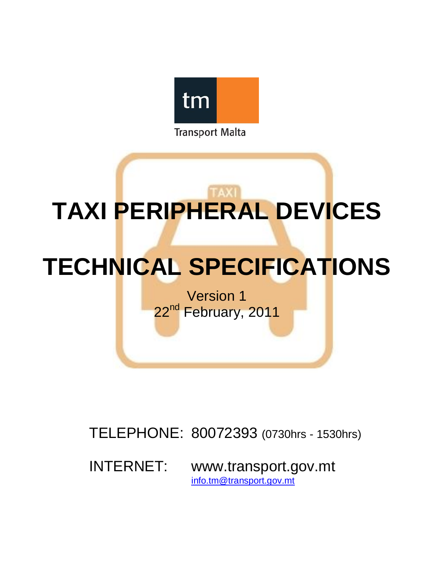

**Transport Malta** 

# **TAXI PERIPHERAL DEVICES**

## **TECHNICAL SPECIFICATIONS**

Version 1 22<sup>nd</sup> February, 2011

TELEPHONE: 80072393 (0730hrs - 1530hrs)

INTERNET: www.transport.gov.mt info.tm@transport.gov.mt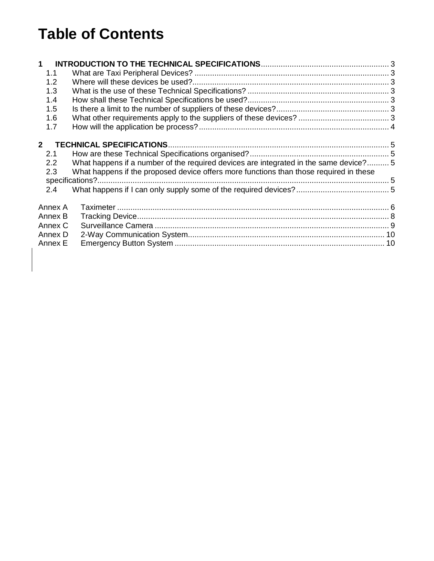## **Table of Contents**

| 1            |                                                                                                                                                                                 |  |
|--------------|---------------------------------------------------------------------------------------------------------------------------------------------------------------------------------|--|
| 1.1          |                                                                                                                                                                                 |  |
| 1.2          |                                                                                                                                                                                 |  |
| 1.3          |                                                                                                                                                                                 |  |
| 1.4          |                                                                                                                                                                                 |  |
| 1.5          |                                                                                                                                                                                 |  |
| 1.6          |                                                                                                                                                                                 |  |
| 1.7          |                                                                                                                                                                                 |  |
| $\mathbf{p}$ |                                                                                                                                                                                 |  |
| 2.1          |                                                                                                                                                                                 |  |
| 2.2<br>2.3   | What happens if a number of the required devices are integrated in the same device? 5<br>What happens if the proposed device offers more functions than those required in these |  |
|              |                                                                                                                                                                                 |  |
| 2.4          |                                                                                                                                                                                 |  |
| Annex A      |                                                                                                                                                                                 |  |
| Annex B      |                                                                                                                                                                                 |  |
| Annex C      |                                                                                                                                                                                 |  |
| Annex D      |                                                                                                                                                                                 |  |
| Annex E      |                                                                                                                                                                                 |  |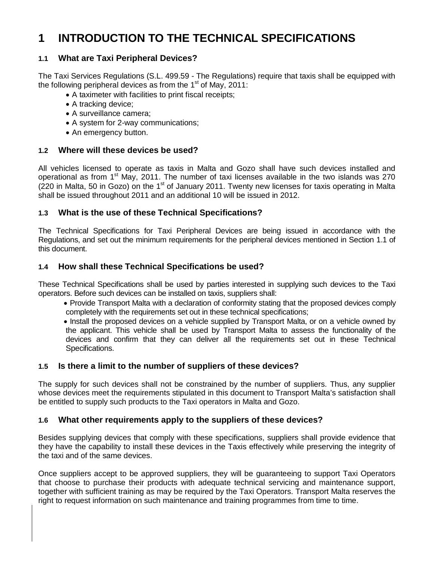## **1 INTRODUCTION TO THE TECHNICAL SPECIFICATIONS**

#### **1.1 What are Taxi Peripheral Devices?**

The Taxi Services Regulations (S.L. 499.59 - The Regulations) require that taxis shall be equipped with the following peripheral devices as from the  $1<sup>st</sup>$  of May, 2011:

- A taximeter with facilities to print fiscal receipts;
- A tracking device;
- A surveillance camera;
- A system for 2-way communications;
- An emergency button.

#### **1.2 Where will these devices be used?**

All vehicles licensed to operate as taxis in Malta and Gozo shall have such devices installed and operational as from  $1<sup>st</sup>$  May, 2011. The number of taxi licenses available in the two islands was 270 (220 in Malta, 50 in Gozo) on the 1<sup>st</sup> of January 2011. Twenty new licenses for taxis operating in Malta shall be issued throughout 2011 and an additional 10 will be issued in 2012.

#### **1.3 What is the use of these Technical Specifications?**

The Technical Specifications for Taxi Peripheral Devices are being issued in accordance with the Regulations, and set out the minimum requirements for the peripheral devices mentioned in Section 1.1 of this document.

#### **1.4 How shall these Technical Specifications be used?**

These Technical Specifications shall be used by parties interested in supplying such devices to the Taxi operators. Before such devices can be installed on taxis, suppliers shall:

 Provide Transport Malta with a declaration of conformity stating that the proposed devices comply completely with the requirements set out in these technical specifications;

• Install the proposed devices on a vehicle supplied by Transport Malta, or on a vehicle owned by the applicant. This vehicle shall be used by Transport Malta to assess the functionality of the devices and confirm that they can deliver all the requirements set out in these Technical Specifications.

#### **1.5 Is there a limit to the number of suppliers of these devices?**

The supply for such devices shall not be constrained by the number of suppliers. Thus, any supplier whose devices meet the requirements stipulated in this document to Transport Malta's satisfaction shall be entitled to supply such products to the Taxi operators in Malta and Gozo.

#### **1.6 What other requirements apply to the suppliers of these devices?**

Besides supplying devices that comply with these specifications, suppliers shall provide evidence that they have the capability to install these devices in the Taxis effectively while preserving the integrity of the taxi and of the same devices.

Once suppliers accept to be approved suppliers, they will be guaranteeing to support Taxi Operators that choose to purchase their products with adequate technical servicing and maintenance support, together with sufficient training as may be required by the Taxi Operators. Transport Malta reserves the right to request information on such maintenance and training programmes from time to time.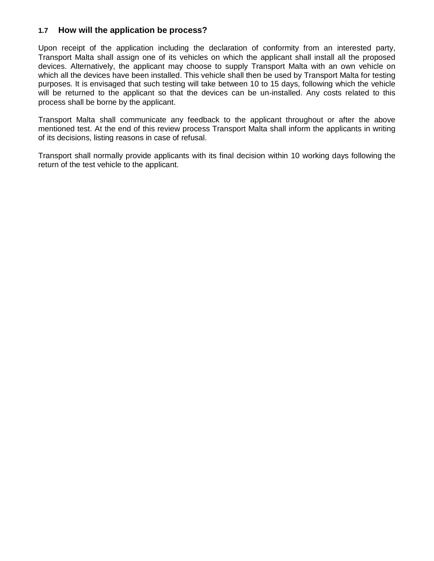#### **1.7 How will the application be process?**

Upon receipt of the application including the declaration of conformity from an interested party, Transport Malta shall assign one of its vehicles on which the applicant shall install all the proposed devices. Alternatively, the applicant may choose to supply Transport Malta with an own vehicle on which all the devices have been installed. This vehicle shall then be used by Transport Malta for testing purposes. It is envisaged that such testing will take between 10 to 15 days, following which the vehicle will be returned to the applicant so that the devices can be un-installed. Any costs related to this process shall be borne by the applicant.

Transport Malta shall communicate any feedback to the applicant throughout or after the above mentioned test. At the end of this review process Transport Malta shall inform the applicants in writing of its decisions, listing reasons in case of refusal.

Transport shall normally provide applicants with its final decision within 10 working days following the return of the test vehicle to the applicant.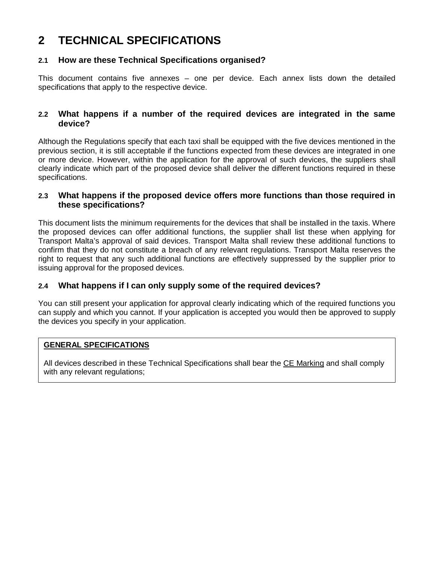## **2 TECHNICAL SPECIFICATIONS**

#### **2.1 How are these Technical Specifications organised?**

This document contains five annexes – one per device. Each annex lists down the detailed specifications that apply to the respective device.

#### **2.2 What happens if a number of the required devices are integrated in the same device?**

Although the Regulations specify that each taxi shall be equipped with the five devices mentioned in the previous section, it is still acceptable if the functions expected from these devices are integrated in one or more device. However, within the application for the approval of such devices, the suppliers shall clearly indicate which part of the proposed device shall deliver the different functions required in these specifications.

#### **2.3 What happens if the proposed device offers more functions than those required in these specifications?**

This document lists the minimum requirements for the devices that shall be installed in the taxis. Where the proposed devices can offer additional functions, the supplier shall list these when applying for Transport Malta's approval of said devices. Transport Malta shall review these additional functions to confirm that they do not constitute a breach of any relevant regulations. Transport Malta reserves the right to request that any such additional functions are effectively suppressed by the supplier prior to issuing approval for the proposed devices.

#### **2.4 What happens if I can only supply some of the required devices?**

You can still present your application for approval clearly indicating which of the required functions you can supply and which you cannot. If your application is accepted you would then be approved to supply the devices you specify in your application.

#### **GENERAL SPECIFICATIONS**

All devices described in these Technical Specifications shall bear the CE Marking and shall comply with any relevant regulations;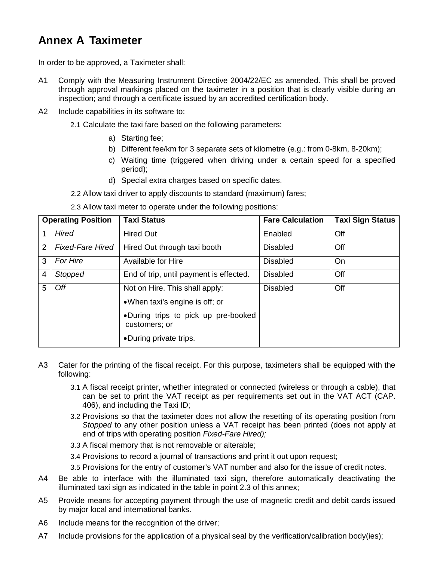## **Annex A Taximeter**

In order to be approved, a Taximeter shall:

- A1 Comply with the Measuring Instrument Directive 2004/22/EC as amended. This shall be proved through approval markings placed on the taximeter in a position that is clearly visible during an inspection; and through a certificate issued by an accredited certification body.
- A2 Include capabilities in its software to:
	- 2.1 Calculate the taxi fare based on the following parameters:
		- a) Starting fee;
		- b) Different fee/km for 3 separate sets of kilometre (e.g.: from 0-8km, 8-20km);
		- c) Waiting time (triggered when driving under a certain speed for a specified period);
		- d) Special extra charges based on specific dates.
	- 2.2 Allow taxi driver to apply discounts to standard (maximum) fares;
	- 2.3 Allow taxi meter to operate under the following positions:

| <b>Operating Position</b> |                         | <b>Taxi Status</b>                                   | <b>Fare Calculation</b> | <b>Taxi Sign Status</b> |
|---------------------------|-------------------------|------------------------------------------------------|-------------------------|-------------------------|
| 1                         | <b>Hired</b>            | <b>Hired Out</b>                                     | Enabled                 | Off                     |
| 2                         | <b>Fixed-Fare Hired</b> | Hired Out through taxi booth                         | <b>Disabled</b>         | Off                     |
| 3                         | For Hire                | Available for Hire                                   | Disabled                | On                      |
| $\overline{4}$            | Stopped                 | End of trip, until payment is effected.              | <b>Disabled</b>         | Off                     |
| 5                         | Off                     | Not on Hire. This shall apply:                       | <b>Disabled</b>         | Off                     |
|                           |                         | • When taxi's engine is off; or                      |                         |                         |
|                           |                         | .During trips to pick up pre-booked<br>customers; or |                         |                         |
|                           |                         | •During private trips.                               |                         |                         |

- A3 Cater for the printing of the fiscal receipt. For this purpose, taximeters shall be equipped with the following:
	- 3.1 A fiscal receipt printer, whether integrated or connected (wireless or through a cable), that can be set to print the VAT receipt as per requirements set out in the VAT ACT (CAP. 406), and including the Taxi ID;
	- 3.2 Provisions so that the taximeter does not allow the resetting of its operating position from *Stopped* to any other position unless a VAT receipt has been printed (does not apply at end of trips with operating position *Fixed-Fare Hired);*
	- 3.3 A fiscal memory that is not removable or alterable;
	- 3.4 Provisions to record a journal of transactions and print it out upon request;
	- 3.5 Provisions for the entry of customer's VAT number and also for the issue of credit notes.
- A4 Be able to interface with the illuminated taxi sign, therefore automatically deactivating the illuminated taxi sign as indicated in the table in point 2.3 of this annex;
- A5 Provide means for accepting payment through the use of magnetic credit and debit cards issued by major local and international banks.
- A6 Include means for the recognition of the driver;
- A7 Include provisions for the application of a physical seal by the verification/calibration body(ies);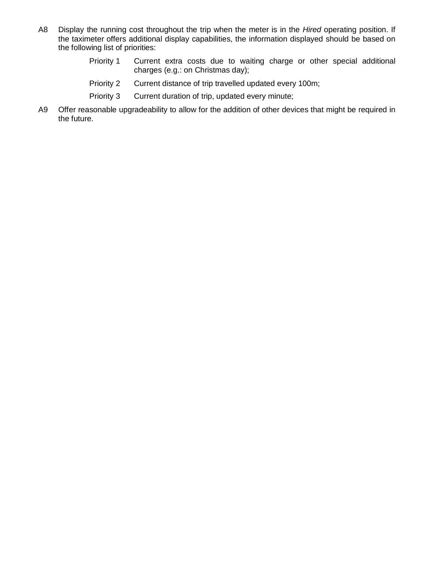- A8 Display the running cost throughout the trip when the meter is in the *Hired* operating position. If the taximeter offers additional display capabilities, the information displayed should be based on the following list of priorities:
	- Priority 1 Current extra costs due to waiting charge or other special additional charges (e.g.: on Christmas day);
	- Priority 2 Current distance of trip travelled updated every 100m;
	- Priority 3 Current duration of trip, updated every minute;
- A9 Offer reasonable upgradeability to allow for the addition of other devices that might be required in the future.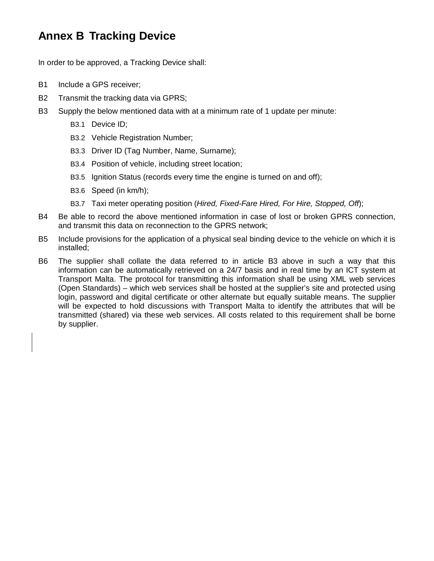## **Annex B Tracking Device**

In order to be approved, a Tracking Device shall:

- B1 Include a GPS receiver;
- B2 Transmit the tracking data via GPRS;
- B3 Supply the below mentioned data with at a minimum rate of 1 update per minute:
	- B3.1 Device ID;
	- B3.2 Vehicle Registration Number;
	- B3.3 Driver ID (Tag Number, Name, Surname);
	- B3.4 Position of vehicle, including street location;
	- B3.5 Ignition Status (records every time the engine is turned on and off);
	- B3.6 Speed (in km/h);
	- B3.7 Taxi meter operating position (*Hired, Fixed-Fare Hired, For Hire, Stopped, Off*);
- B4 Be able to record the above mentioned information in case of lost or broken GPRS connection, and transmit this data on reconnection to the GPRS network;
- B5 Include provisions for the application of a physical seal binding device to the vehicle on which it is installed;
- B6 The supplier shall collate the data referred to in article B3 above in such a way that this information can be automatically retrieved on a 24/7 basis and in real time by an ICT system at Transport Malta. The protocol for transmitting this information shall be using XML web services (Open Standards) – which web services shall be hosted at the supplier's site and protected using login, password and digital certificate or other alternate but equally suitable means. The supplier will be expected to hold discussions with Transport Malta to identify the attributes that will be transmitted (shared) via these web services. All costs related to this requirement shall be borne by supplier.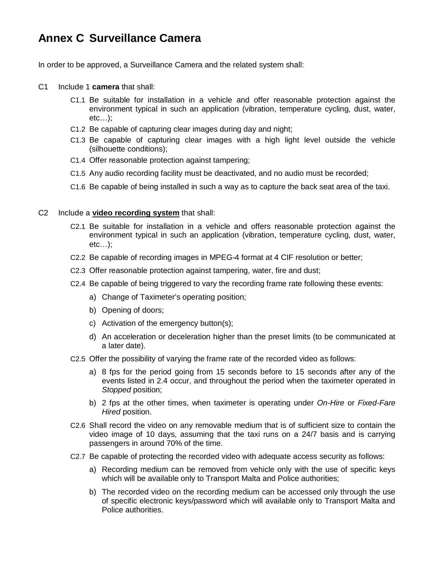## **Annex C Surveillance Camera**

In order to be approved, a Surveillance Camera and the related system shall:

- C1 Include 1 **camera** that shall:
	- C1.1 Be suitable for installation in a vehicle and offer reasonable protection against the environment typical in such an application (vibration, temperature cycling, dust, water, etc…);
	- C1.2 Be capable of capturing clear images during day and night;
	- C1.3 Be capable of capturing clear images with a high light level outside the vehicle (silhouette conditions);
	- C1.4 Offer reasonable protection against tampering;
	- C1.5 Any audio recording facility must be deactivated, and no audio must be recorded;
	- C1.6 Be capable of being installed in such a way as to capture the back seat area of the taxi.
- C2 Include a **video recording system** that shall:
	- C2.1 Be suitable for installation in a vehicle and offers reasonable protection against the environment typical in such an application (vibration, temperature cycling, dust, water, etc…);
	- C2.2 Be capable of recording images in MPEG-4 format at 4 CIF resolution or better;
	- C2.3 Offer reasonable protection against tampering, water, fire and dust;
	- C2.4 Be capable of being triggered to vary the recording frame rate following these events:
		- a) Change of Taximeter's operating position;
		- b) Opening of doors;
		- c) Activation of the emergency button(s);
		- d) An acceleration or deceleration higher than the preset limits (to be communicated at a later date).
	- C2.5 Offer the possibility of varying the frame rate of the recorded video as follows:
		- a) 8 fps for the period going from 15 seconds before to 15 seconds after any of the events listed in 2.4 occur, and throughout the period when the taximeter operated in *Stopped* position;
		- b) 2 fps at the other times, when taximeter is operating under *On-Hire* or *Fixed-Fare Hired* position.
	- C2.6 Shall record the video on any removable medium that is of sufficient size to contain the video image of 10 days, assuming that the taxi runs on a 24/7 basis and is carrying passengers in around 70% of the time.
	- C2.7 Be capable of protecting the recorded video with adequate access security as follows:
		- a) Recording medium can be removed from vehicle only with the use of specific keys which will be available only to Transport Malta and Police authorities;
		- b) The recorded video on the recording medium can be accessed only through the use of specific electronic keys/password which will available only to Transport Malta and Police authorities.